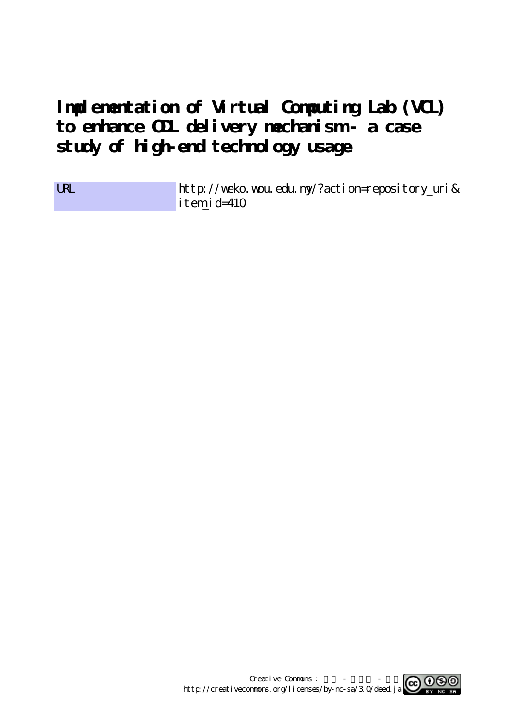**Implementation of Virtual Computing Lab (VCL) to enhance ODL delivery mechanism - a case study of high-end technology usage**

| <b>URL</b> | http://weko.wou.edu.my/?action=repository_uri& |
|------------|------------------------------------------------|
|            | $\vert$ itemid=410                             |

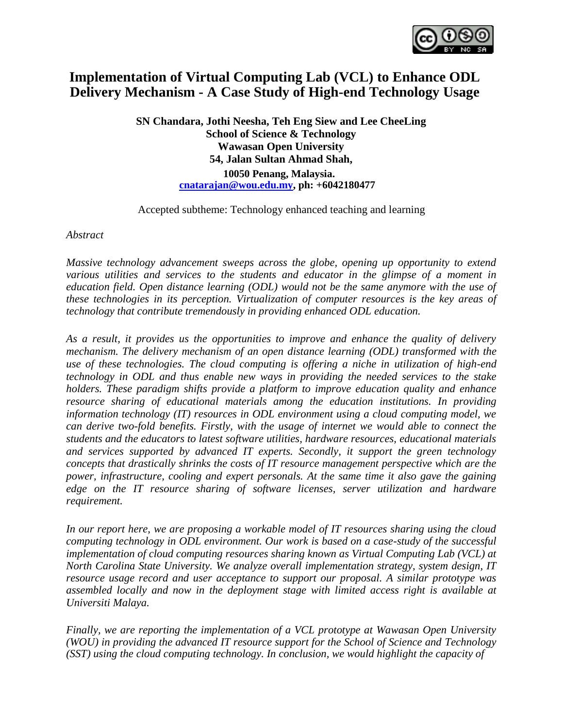

## **Implementation of Virtual Computing Lab (VCL) to Enhance ODL Delivery Mechanism - A Case Study of High-end Technology Usage**

**SN Chandara, Jothi Neesha, Teh Eng Siew and Lee CheeLing School of Science & Technology Wawasan Open University 54, Jalan Sultan Ahmad Shah, 10050 Penang, Malaysia. cnatarajan@wou.edu.my, ph: +6042180477**

Accepted subtheme: Technology enhanced teaching and learning

*Abstract*

*Massive technology advancement sweeps across the globe, opening up opportunity to extend various utilities and services to the students and educator in the glimpse of a moment in education field. Open distance learning (ODL) would not be the same anymore with the use of these technologies in its perception. Virtualization of computer resources is the key areas of technology that contribute tremendously in providing enhanced ODL education.*

*As a result, it provides us the opportunities to improve and enhance the quality of delivery mechanism. The delivery mechanism of an open distance learning (ODL) transformed with the use of these technologies. The cloud computing is offering a niche in utilization of high-end technology in ODL and thus enable new ways in providing the needed services to the stake holders. These paradigm shifts provide a platform to improve education quality and enhance resource sharing of educational materials among the education institutions. In providing information technology (IT) resources in ODL environment using a cloud computing model, we can derive two-fold benefits. Firstly, with the usage of internet we would able to connect the students and the educators to latest software utilities, hardware resources, educational materials and services supported by advanced IT experts. Secondly, it support the green technology concepts that drastically shrinks the costs of IT resource management perspective which are the power, infrastructure, cooling and expert personals. At the same time it also gave the gaining edge on the IT resource sharing of software licenses, server utilization and hardware requirement.*

*In our report here, we are proposing a workable model of IT resources sharing using the cloud computing technology in ODL environment. Our work is based on a case-study of the successful implementation of cloud computing resources sharing known as Virtual Computing Lab (VCL) at North Carolina State University. We analyze overall implementation strategy, system design, IT resource usage record and user acceptance to support our proposal. A similar prototype was assembled locally and now in the deployment stage with limited access right is available at Universiti Malaya.*

*Finally, we are reporting the implementation of a VCL prototype at Wawasan Open University (WOU) in providing the advanced IT resource support for the School of Science and Technology (SST) using the cloud computing technology. In conclusion, we would highlight the capacity of*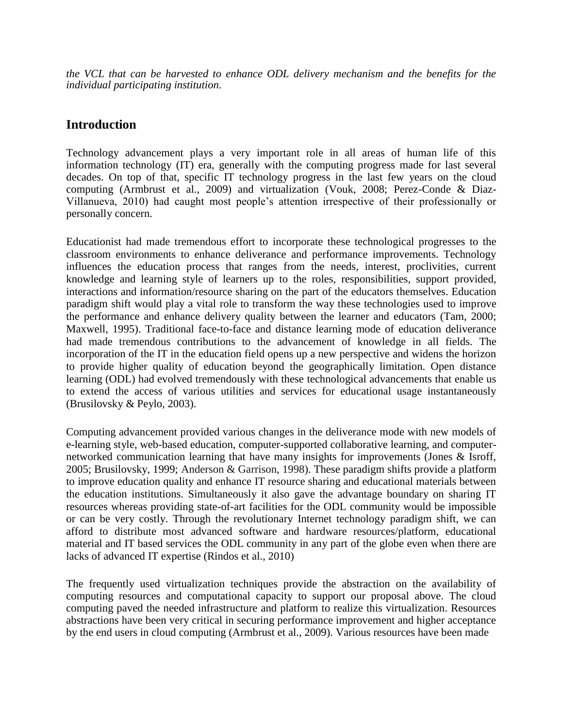*the VCL that can be harvested to enhance ODL delivery mechanism and the benefits for the individual participating institution.*

#### **Introduction**

Technology advancement plays a very important role in all areas of human life of this information technology (IT) era, generally with the computing progress made for last several decades. On top of that, specific IT technology progress in the last few years on the cloud computing (Armbrust et al., 2009) and virtualization (Vouk, 2008; Perez-Conde & Diaz-Villanueva, 2010) had caught most people's attention irrespective of their professionally or personally concern.

Educationist had made tremendous effort to incorporate these technological progresses to the classroom environments to enhance deliverance and performance improvements. Technology influences the education process that ranges from the needs, interest, proclivities, current knowledge and learning style of learners up to the roles, responsibilities, support provided, interactions and information/resource sharing on the part of the educators themselves. Education paradigm shift would play a vital role to transform the way these technologies used to improve the performance and enhance delivery quality between the learner and educators (Tam, 2000; Maxwell, 1995). Traditional face-to-face and distance learning mode of education deliverance had made tremendous contributions to the advancement of knowledge in all fields. The incorporation of the IT in the education field opens up a new perspective and widens the horizon to provide higher quality of education beyond the geographically limitation. Open distance learning (ODL) had evolved tremendously with these technological advancements that enable us to extend the access of various utilities and services for educational usage instantaneously (Brusilovsky & Peylo, 2003).

Computing advancement provided various changes in the deliverance mode with new models of e-learning style, web-based education, computer-supported collaborative learning, and computernetworked communication learning that have many insights for improvements (Jones & Isroff, 2005; Brusilovsky, 1999; Anderson & Garrison, 1998). These paradigm shifts provide a platform to improve education quality and enhance IT resource sharing and educational materials between the education institutions. Simultaneously it also gave the advantage boundary on sharing IT resources whereas providing state-of-art facilities for the ODL community would be impossible or can be very costly. Through the revolutionary Internet technology paradigm shift, we can afford to distribute most advanced software and hardware resources/platform, educational material and IT based services the ODL community in any part of the globe even when there are lacks of advanced IT expertise (Rindos et al., 2010)

The frequently used virtualization techniques provide the abstraction on the availability of computing resources and computational capacity to support our proposal above. The cloud computing paved the needed infrastructure and platform to realize this virtualization. Resources abstractions have been very critical in securing performance improvement and higher acceptance by the end users in cloud computing (Armbrust et al., 2009). Various resources have been made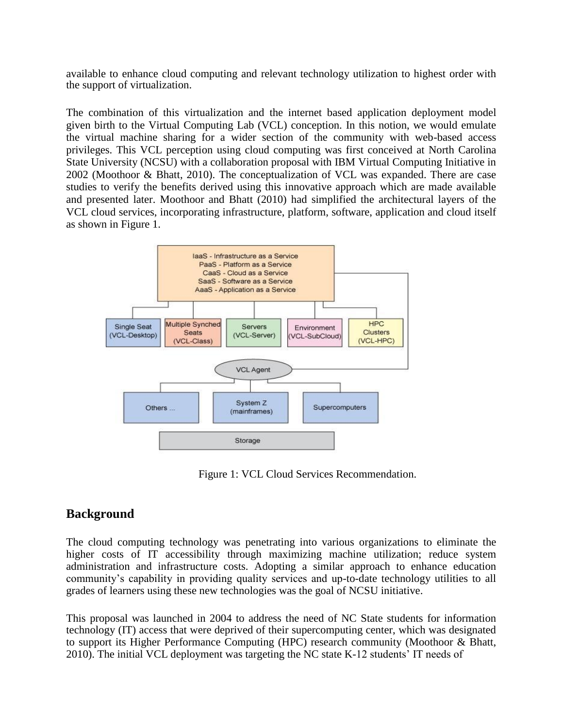available to enhance cloud computing and relevant technology utilization to highest order with the support of virtualization.

The combination of this virtualization and the internet based application deployment model given birth to the Virtual Computing Lab (VCL) conception. In this notion, we would emulate the virtual machine sharing for a wider section of the community with web-based access privileges. This VCL perception using cloud computing was first conceived at North Carolina State University (NCSU) with a collaboration proposal with IBM Virtual Computing Initiative in 2002 (Moothoor & Bhatt, 2010). The conceptualization of VCL was expanded. There are case studies to verify the benefits derived using this innovative approach which are made available and presented later. Moothoor and Bhatt (2010) had simplified the architectural layers of the VCL cloud services, incorporating infrastructure, platform, software, application and cloud itself as shown in Figure 1.



Figure 1: VCL Cloud Services Recommendation.

### **Background**

The cloud computing technology was penetrating into various organizations to eliminate the higher costs of IT accessibility through maximizing machine utilization; reduce system administration and infrastructure costs. Adopting a similar approach to enhance education community's capability in providing quality services and up-to-date technology utilities to all grades of learners using these new technologies was the goal of NCSU initiative.

This proposal was launched in 2004 to address the need of NC State students for information technology (IT) access that were deprived of their supercomputing center, which was designated to support its Higher Performance Computing (HPC) research community (Moothoor & Bhatt, 2010). The initial VCL deployment was targeting the NC state K-12 students' IT needs of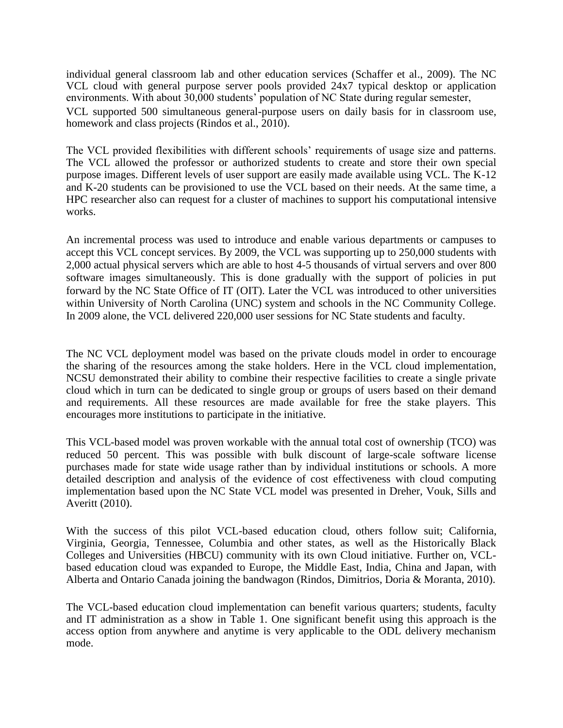individual general classroom lab and other education services (Schaffer et al., 2009). The NC VCL cloud with general purpose server pools provided 24x7 typical desktop or application environments. With about 30,000 students' population of NC State during regular semester,

VCL supported 500 simultaneous general-purpose users on daily basis for in classroom use, homework and class projects (Rindos et al., 2010).

The VCL provided flexibilities with different schools' requirements of usage size and patterns. The VCL allowed the professor or authorized students to create and store their own special purpose images. Different levels of user support are easily made available using VCL. The K-12 and K-20 students can be provisioned to use the VCL based on their needs. At the same time, a HPC researcher also can request for a cluster of machines to support his computational intensive works.

An incremental process was used to introduce and enable various departments or campuses to accept this VCL concept services. By 2009, the VCL was supporting up to 250,000 students with 2,000 actual physical servers which are able to host 4-5 thousands of virtual servers and over 800 software images simultaneously. This is done gradually with the support of policies in put forward by the NC State Office of IT (OIT). Later the VCL was introduced to other universities within University of North Carolina (UNC) system and schools in the NC Community College. In 2009 alone, the VCL delivered 220,000 user sessions for NC State students and faculty.

The NC VCL deployment model was based on the private clouds model in order to encourage the sharing of the resources among the stake holders. Here in the VCL cloud implementation, NCSU demonstrated their ability to combine their respective facilities to create a single private cloud which in turn can be dedicated to single group or groups of users based on their demand and requirements. All these resources are made available for free the stake players. This encourages more institutions to participate in the initiative.

This VCL-based model was proven workable with the annual total cost of ownership (TCO) was reduced 50 percent. This was possible with bulk discount of large-scale software license purchases made for state wide usage rather than by individual institutions or schools. A more detailed description and analysis of the evidence of cost effectiveness with cloud computing implementation based upon the NC State VCL model was presented in Dreher, Vouk, Sills and Averitt (2010).

With the success of this pilot VCL-based education cloud, others follow suit; California, Virginia, Georgia, Tennessee, Columbia and other states, as well as the Historically Black Colleges and Universities (HBCU) community with its own Cloud initiative. Further on, VCLbased education cloud was expanded to Europe, the Middle East, India, China and Japan, with Alberta and Ontario Canada joining the bandwagon (Rindos, Dimitrios, Doria & Moranta, 2010).

The VCL-based education cloud implementation can benefit various quarters; students, faculty and IT administration as a show in Table 1. One significant benefit using this approach is the access option from anywhere and anytime is very applicable to the ODL delivery mechanism mode.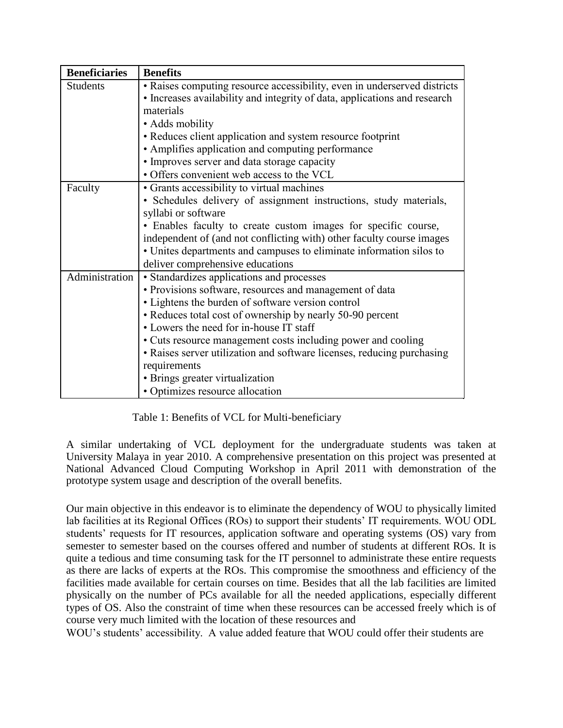| <b>Beneficiaries</b> | <b>Benefits</b>                                                                                                                                                                                                                                                                                                                                                                                                                                                                                   |
|----------------------|---------------------------------------------------------------------------------------------------------------------------------------------------------------------------------------------------------------------------------------------------------------------------------------------------------------------------------------------------------------------------------------------------------------------------------------------------------------------------------------------------|
| <b>Students</b>      | • Raises computing resource accessibility, even in underserved districts<br>• Increases availability and integrity of data, applications and research<br>materials<br>• Adds mobility<br>• Reduces client application and system resource footprint<br>• Amplifies application and computing performance<br>• Improves server and data storage capacity<br>· Offers convenient web access to the VCL                                                                                              |
| Faculty              | • Grants accessibility to virtual machines<br>• Schedules delivery of assignment instructions, study materials,<br>syllabi or software<br>• Enables faculty to create custom images for specific course,<br>independent of (and not conflicting with) other faculty course images<br>• Unites departments and campuses to eliminate information silos to<br>deliver comprehensive educations                                                                                                      |
| Administration       | • Standardizes applications and processes<br>• Provisions software, resources and management of data<br>• Lightens the burden of software version control<br>• Reduces total cost of ownership by nearly 50-90 percent<br>• Lowers the need for in-house IT staff<br>• Cuts resource management costs including power and cooling<br>• Raises server utilization and software licenses, reducing purchasing<br>requirements<br>• Brings greater virtualization<br>• Optimizes resource allocation |

Table 1: Benefits of VCL for Multi-beneficiary

A similar undertaking of VCL deployment for the undergraduate students was taken at University Malaya in year 2010. A comprehensive presentation on this project was presented at National Advanced Cloud Computing Workshop in April 2011 with demonstration of the prototype system usage and description of the overall benefits.

Our main objective in this endeavor is to eliminate the dependency of WOU to physically limited lab facilities at its Regional Offices (ROs) to support their students' IT requirements. WOU ODL students' requests for IT resources, application software and operating systems (OS) vary from semester to semester based on the courses offered and number of students at different ROs. It is quite a tedious and time consuming task for the IT personnel to administrate these entire requests as there are lacks of experts at the ROs. This compromise the smoothness and efficiency of the facilities made available for certain courses on time. Besides that all the lab facilities are limited physically on the number of PCs available for all the needed applications, especially different types of OS. Also the constraint of time when these resources can be accessed freely which is of course very much limited with the location of these resources and

WOU's students' accessibility. A value added feature that WOU could offer their students are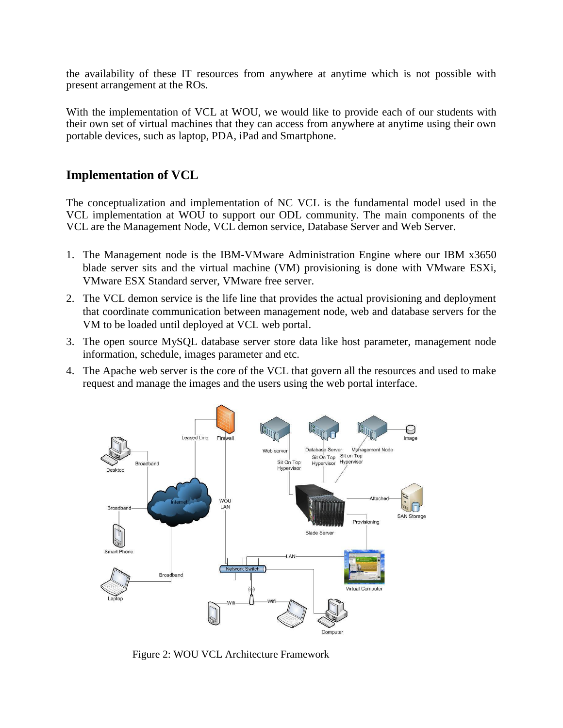the availability of these IT resources from anywhere at anytime which is not possible with present arrangement at the ROs.

With the implementation of VCL at WOU, we would like to provide each of our students with their own set of virtual machines that they can access from anywhere at anytime using their own portable devices, such as laptop, PDA, iPad and Smartphone.

#### **Implementation of VCL**

The conceptualization and implementation of NC VCL is the fundamental model used in the VCL implementation at WOU to support our ODL community. The main components of the VCL are the Management Node, VCL demon service, Database Server and Web Server.

- 1. The Management node is the IBM-VMware Administration Engine where our IBM x3650 blade server sits and the virtual machine (VM) provisioning is done with VMware ESXi, VMware ESX Standard server, VMware free server.
- 2. The VCL demon service is the life line that provides the actual provisioning and deployment that coordinate communication between management node, web and database servers for the VM to be loaded until deployed at VCL web portal.
- 3. The open source MySQL database server store data like host parameter, management node information, schedule, images parameter and etc.
- 4. The Apache web server is the core of the VCL that govern all the resources and used to make request and manage the images and the users using the web portal interface.



Figure 2: WOU VCL Architecture Framework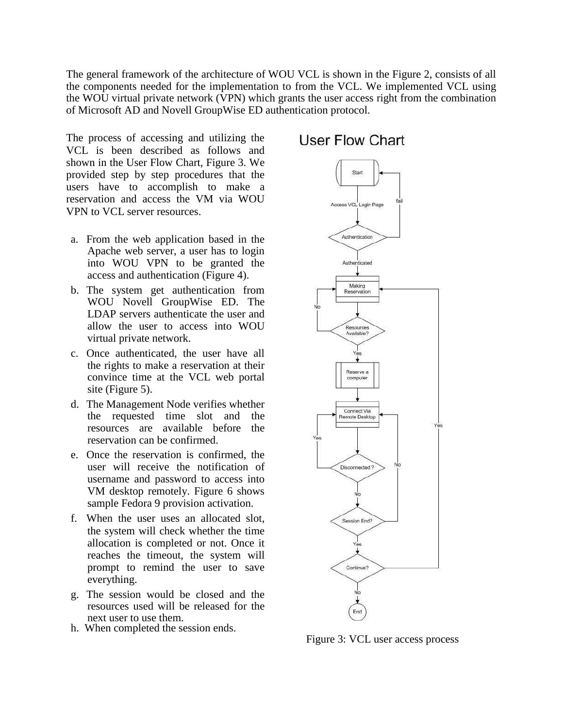The general framework of the architecture of WOU VCL is shown in the Figure 2, consists of all the components needed for the implementation to from the VCL. We implemented VCL using the WOU virtual private network (VPN) which grants the user access right from the combination of Microsoft AD and Novell GroupWise ED authentication protocol.

The process of accessing and utilizing the VCL is been described as follows and shown in the User Flow Chart, Figure 3. We provided step by step procedures that the users have to accomplish to make a reservation and access the VM via WOU VPN to VCL server resources.

- a. From the web application based in the Apache web server, a user has to login into WOU VPN to be granted the access and authentication (Figure 4).
- b. The system get authentication from WOU Novell GroupWise ED. The LDAP servers authenticate the user and allow the user to access into WOU virtual private network.
- c. Once authenticated, the user have all the rights to make a reservation at their convince time at the VCL web portal site (Figure 5).
- d. The Management Node verifies whether the requested time slot and the resources are available before the reservation can be confirmed.
- e. Once the reservation is confirmed, the user will receive the notification of username and password to access into VM desktop remotely. Figure 6 shows sample Fedora 9 provision activation.
- f. When the user uses an allocated slot, the system will check whether the time allocation is completed or not. Once it reaches the timeout, the system will prompt to remind the user to save everything.
- g. The session would be closed and the resources used will be released for the next user to use them.
- h. When completed the session ends.

# User Flow Chart Star



Figure 3: VCL user access process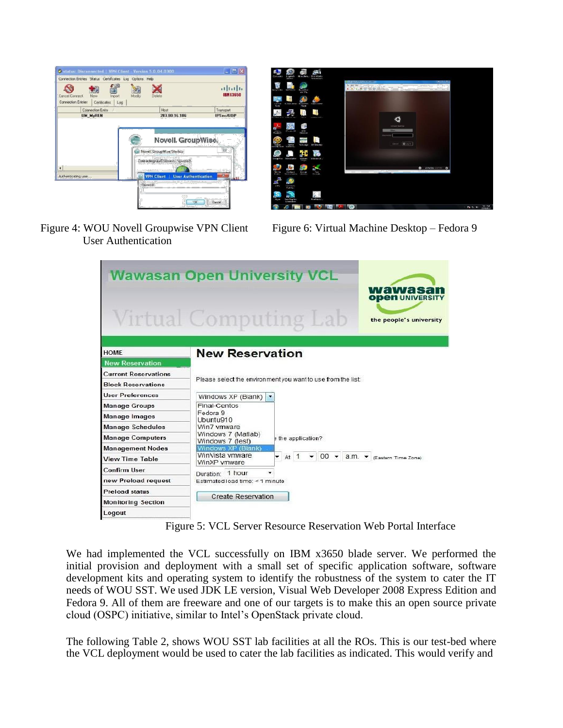| New<br>Cancel Connect<br>Import<br>Connection Entries   Certificates<br>Log | Delete<br>Moděv                                              | 11.11.<br><b>IBMX3650</b> |
|-----------------------------------------------------------------------------|--------------------------------------------------------------|---------------------------|
| <b>Connection Entry</b>                                                     | Host                                                         | Transport                 |
| <b>UM MyREN</b>                                                             | 203.80.16.186                                                | <b>IPSecAIDP</b>          |
|                                                                             | Novel GroupWise Startup<br>Connecting via C:\Users\\gwstrc2i |                           |
| $\blacktriangleleft$                                                        |                                                              |                           |
| Authenticating user                                                         | <b>VPN Client   User Authentication</b>                      | 邓                         |
|                                                                             | Password<br>u                                                |                           |



Figure 4: WOU Novell Groupwise VPN Client Figure 6: Virtual Machine Desktop – Fedora 9 User Authentication

|                             | <b>Wawasan Open University VCL</b><br>wawasan<br><b>ODEN UNIVERSITY</b><br><b>Virtual Computing Lab</b><br>the people's university |  |  |  |  |  |
|-----------------------------|------------------------------------------------------------------------------------------------------------------------------------|--|--|--|--|--|
| <b>HOME</b>                 | <b>New Reservation</b>                                                                                                             |  |  |  |  |  |
| <b>New Reservation</b>      |                                                                                                                                    |  |  |  |  |  |
| <b>Current Reservations</b> |                                                                                                                                    |  |  |  |  |  |
| <b>Block Reservations</b>   | Please select the environment you want to use from the list:                                                                       |  |  |  |  |  |
| <b>User Preferences</b>     | Windows XP (Blank)                                                                                                                 |  |  |  |  |  |
| <b>Manage Groups</b>        | Final-Centos                                                                                                                       |  |  |  |  |  |
| Manage Images               | Fedora 9<br>Ubuntu910                                                                                                              |  |  |  |  |  |
| <b>Manage Schedules</b>     | Win7 ymware                                                                                                                        |  |  |  |  |  |
| <b>Manage Computers</b>     | Windows 7 (Matlab)<br>the application?<br>Windows 7 (test)                                                                         |  |  |  |  |  |
| <b>Management Nodes</b>     | Windows XP (Blank)                                                                                                                 |  |  |  |  |  |
| <b>View Time Table</b>      | WinVista vmware<br>$\star$ At 1 $\star$ 00 $\star$ a.m. $\star$ (Eastern Time Zone)<br>WinXP vmware                                |  |  |  |  |  |
| <b>Confirm User</b>         | Duration: 1 hour                                                                                                                   |  |  |  |  |  |
| new Preload request         | Estimated load time: < 1 minute                                                                                                    |  |  |  |  |  |
| <b>Preload status</b>       | <b>Create Reservation</b>                                                                                                          |  |  |  |  |  |
| <b>Monitoring Section</b>   |                                                                                                                                    |  |  |  |  |  |
| Logout                      |                                                                                                                                    |  |  |  |  |  |

Figure 5: VCL Server Resource Reservation Web Portal Interface

We had implemented the VCL successfully on IBM x3650 blade server. We performed the initial provision and deployment with a small set of specific application software, software development kits and operating system to identify the robustness of the system to cater the IT needs of WOU SST. We used JDK LE version, Visual Web Developer 2008 Express Edition and Fedora 9. All of them are freeware and one of our targets is to make this an open source private cloud (OSPC) initiative, similar to Intel's OpenStack private cloud.

The following Table 2, shows WOU SST lab facilities at all the ROs. This is our test-bed where the VCL deployment would be used to cater the lab facilities as indicated. This would verify and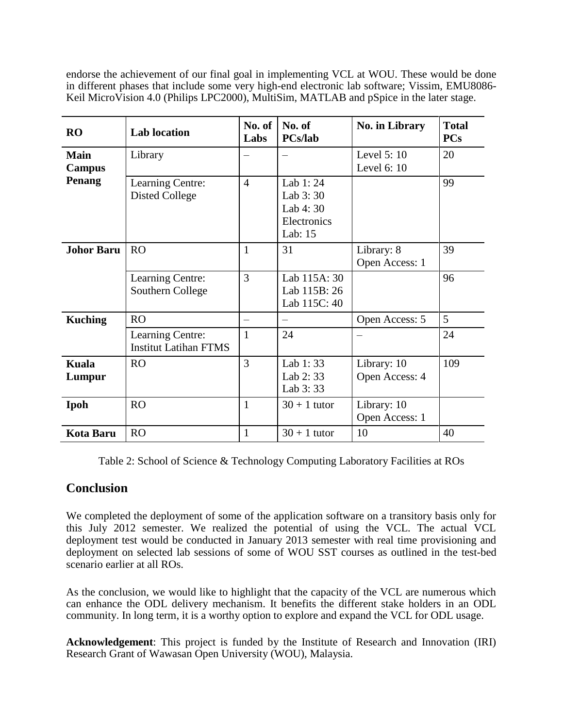endorse the achievement of our final goal in implementing VCL at WOU. These would be done in different phases that include some very high-end electronic lab software; Vissim, EMU8086- Keil MicroVision 4.0 (Philips LPC2000), MultiSim, MATLAB and pSpice in the later stage.

| <b>RO</b>                    | <b>Lab</b> location                              | No. of<br>Labs | No. of<br><b>PCs/lab</b>                                    | No. in Library                | <b>Total</b><br><b>PCs</b> |
|------------------------------|--------------------------------------------------|----------------|-------------------------------------------------------------|-------------------------------|----------------------------|
| <b>Main</b><br><b>Campus</b> | Library                                          |                |                                                             | Level 5: 10<br>Level 6: 10    | 20                         |
| Penang                       | Learning Centre:<br><b>Disted College</b>        | $\overline{4}$ | Lab 1:24<br>Lab 3:30<br>Lab 4: 30<br>Electronics<br>Lab: 15 |                               | 99                         |
| <b>Johor Baru</b>            | RO                                               | $\mathbf{1}$   | 31                                                          | Library: 8<br>Open Access: 1  | 39                         |
|                              | Learning Centre:<br>Southern College             | $\overline{3}$ | Lab 115A: 30<br>Lab 115B: 26<br>Lab 115C: 40                |                               | 96                         |
| <b>Kuching</b>               | <b>RO</b>                                        |                |                                                             | Open Access: 5                | 5                          |
|                              | Learning Centre:<br><b>Institut Latihan FTMS</b> | $\mathbf{1}$   | 24                                                          |                               | 24                         |
| <b>Kuala</b><br>Lumpur       | RO                                               | 3              | Lab 1:33<br>Lab 2:33<br>Lab 3:33                            | Library: 10<br>Open Access: 4 | 109                        |
| Ipoh                         | <b>RO</b>                                        | $\mathbf{1}$   | $30 + 1$ tutor                                              | Library: 10<br>Open Access: 1 |                            |
| <b>Kota Baru</b>             | <b>RO</b>                                        | $\mathbf{1}$   | $30 + 1$ tutor                                              | 10                            | 40                         |

Table 2: School of Science & Technology Computing Laboratory Facilities at ROs

#### **Conclusion**

We completed the deployment of some of the application software on a transitory basis only for this July 2012 semester. We realized the potential of using the VCL. The actual VCL deployment test would be conducted in January 2013 semester with real time provisioning and deployment on selected lab sessions of some of WOU SST courses as outlined in the test-bed scenario earlier at all ROs.

As the conclusion, we would like to highlight that the capacity of the VCL are numerous which can enhance the ODL delivery mechanism. It benefits the different stake holders in an ODL community. In long term, it is a worthy option to explore and expand the VCL for ODL usage.

**Acknowledgement**: This project is funded by the Institute of Research and Innovation (IRI) Research Grant of Wawasan Open University (WOU), Malaysia.